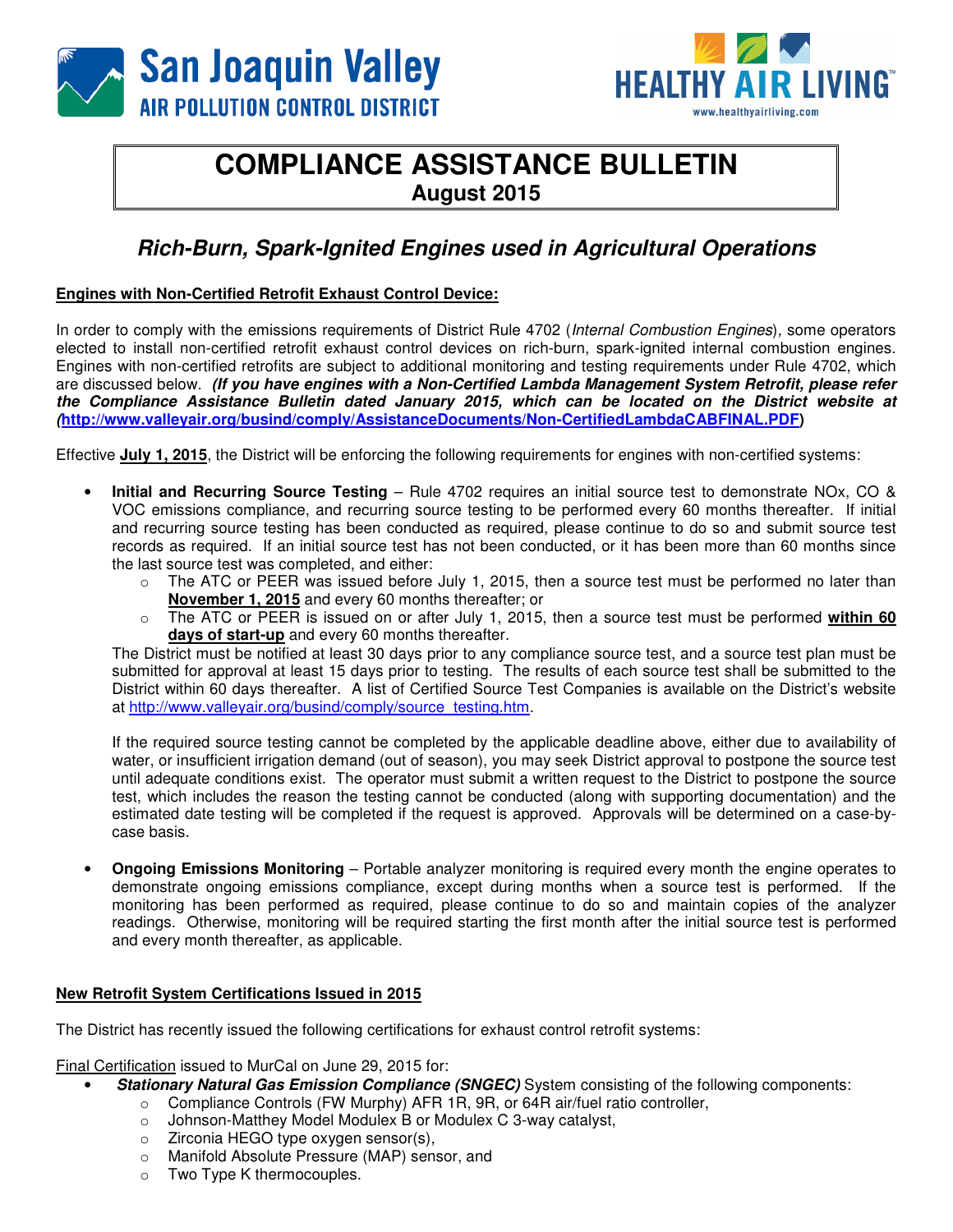



## **COMPLIANCE ASSISTANCE BULLETIN August 2015**

## **Rich-Burn, Spark-Ignited Engines used in Agricultural Operations**

## **Engines with Non-Certified Retrofit Exhaust Control Device:**

In order to comply with the emissions requirements of District Rule 4702 (Internal Combustion Engines), some operators elected to install non-certified retrofit exhaust control devices on rich-burn, spark-ignited internal combustion engines. Engines with non-certified retrofits are subject to additional monitoring and testing requirements under Rule 4702, which are discussed below. **(If you have engines with a Non-Certified Lambda Management System Retrofit, please refer the Compliance Assistance Bulletin dated January 2015, which can be located on the District website at (http://www.valleyair.org/busind/comply/AssistanceDocuments/Non-CertifiedLambdaCABFINAL.PDF)** 

Effective **July 1, 2015**, the District will be enforcing the following requirements for engines with non-certified systems:

- **Initial and Recurring Source Testing** Rule 4702 requires an initial source test to demonstrate NOx, CO & VOC emissions compliance, and recurring source testing to be performed every 60 months thereafter. If initial and recurring source testing has been conducted as required, please continue to do so and submit source test records as required. If an initial source test has not been conducted, or it has been more than 60 months since the last source test was completed, and either:
	- o The ATC or PEER was issued before July 1, 2015, then a source test must be performed no later than **November 1, 2015** and every 60 months thereafter; or
	- o The ATC or PEER is issued on or after July 1, 2015, then a source test must be performed **within 60 days of start-up** and every 60 months thereafter.

The District must be notified at least 30 days prior to any compliance source test, and a source test plan must be submitted for approval at least 15 days prior to testing. The results of each source test shall be submitted to the District within 60 days thereafter. A list of Certified Source Test Companies is available on the District's website at http://www.valleyair.org/busind/comply/source\_testing.htm.

If the required source testing cannot be completed by the applicable deadline above, either due to availability of water, or insufficient irrigation demand (out of season), you may seek District approval to postpone the source test until adequate conditions exist. The operator must submit a written request to the District to postpone the source test, which includes the reason the testing cannot be conducted (along with supporting documentation) and the estimated date testing will be completed if the request is approved. Approvals will be determined on a case-bycase basis.

• **Ongoing Emissions Monitoring** – Portable analyzer monitoring is required every month the engine operates to demonstrate ongoing emissions compliance, except during months when a source test is performed. If the monitoring has been performed as required, please continue to do so and maintain copies of the analyzer readings. Otherwise, monitoring will be required starting the first month after the initial source test is performed and every month thereafter, as applicable.

#### **New Retrofit System Certifications Issued in 2015**

The District has recently issued the following certifications for exhaust control retrofit systems:

Final Certification issued to MurCal on June 29, 2015 for:

- **Stationary Natural Gas Emission Compliance (SNGEC)** System consisting of the following components:
	- o Compliance Controls (FW Murphy) AFR 1R, 9R, or 64R air/fuel ratio controller,
	- o Johnson-Matthey Model Modulex B or Modulex C 3-way catalyst,
	- o Zirconia HEGO type oxygen sensor(s),
	- o Manifold Absolute Pressure (MAP) sensor, and
	- o Two Type K thermocouples.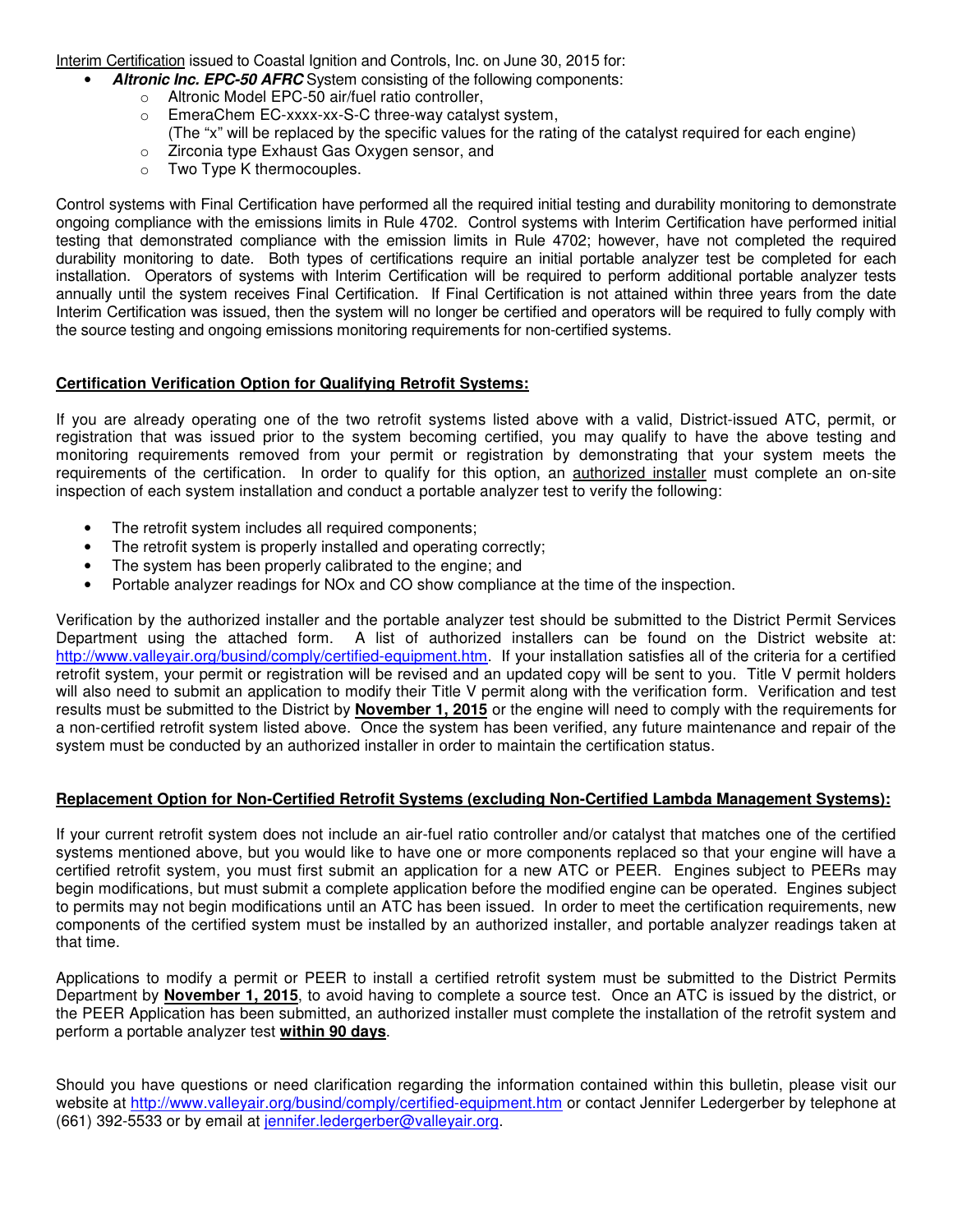Interim Certification issued to Coastal Ignition and Controls, Inc. on June 30, 2015 for:

- Altronic Inc. EPC-50 AFRC System consisting of the following components:
	- o Altronic Model EPC-50 air/fuel ratio controller,
	- o EmeraChem EC-xxxx-xx-S-C three-way catalyst system, (The "x" will be replaced by the specific values for the rating of the catalyst required for each engine)
	- o Zirconia type Exhaust Gas Oxygen sensor, and
	- o Two Type K thermocouples.

Control systems with Final Certification have performed all the required initial testing and durability monitoring to demonstrate ongoing compliance with the emissions limits in Rule 4702. Control systems with Interim Certification have performed initial testing that demonstrated compliance with the emission limits in Rule 4702; however, have not completed the required durability monitoring to date. Both types of certifications require an initial portable analyzer test be completed for each installation. Operators of systems with Interim Certification will be required to perform additional portable analyzer tests annually until the system receives Final Certification. If Final Certification is not attained within three years from the date Interim Certification was issued, then the system will no longer be certified and operators will be required to fully comply with the source testing and ongoing emissions monitoring requirements for non-certified systems.

### **Certification Verification Option for Qualifying Retrofit Systems:**

If you are already operating one of the two retrofit systems listed above with a valid, District-issued ATC, permit, or registration that was issued prior to the system becoming certified, you may qualify to have the above testing and monitoring requirements removed from your permit or registration by demonstrating that your system meets the requirements of the certification. In order to qualify for this option, an authorized installer must complete an on-site inspection of each system installation and conduct a portable analyzer test to verify the following:

- The retrofit system includes all required components;
- The retrofit system is properly installed and operating correctly;
- The system has been properly calibrated to the engine; and
- Portable analyzer readings for NOx and CO show compliance at the time of the inspection.

Verification by the authorized installer and the portable analyzer test should be submitted to the District Permit Services Department using the attached form. A list of authorized installers can be found on the District website at: http://www.valleyair.org/busind/comply/certified-equipment.htm. If your installation satisfies all of the criteria for a certified retrofit system, your permit or registration will be revised and an updated copy will be sent to you. Title V permit holders will also need to submit an application to modify their Title V permit along with the verification form. Verification and test results must be submitted to the District by **November 1, 2015** or the engine will need to comply with the requirements for a non-certified retrofit system listed above. Once the system has been verified, any future maintenance and repair of the system must be conducted by an authorized installer in order to maintain the certification status.

#### **Replacement Option for Non-Certified Retrofit Systems (excluding Non-Certified Lambda Management Systems):**

If your current retrofit system does not include an air-fuel ratio controller and/or catalyst that matches one of the certified systems mentioned above, but you would like to have one or more components replaced so that your engine will have a certified retrofit system, you must first submit an application for a new ATC or PEER. Engines subject to PEERs may begin modifications, but must submit a complete application before the modified engine can be operated. Engines subject to permits may not begin modifications until an ATC has been issued. In order to meet the certification requirements, new components of the certified system must be installed by an authorized installer, and portable analyzer readings taken at that time.

Applications to modify a permit or PEER to install a certified retrofit system must be submitted to the District Permits Department by **November 1, 2015**, to avoid having to complete a source test. Once an ATC is issued by the district, or the PEER Application has been submitted, an authorized installer must complete the installation of the retrofit system and perform a portable analyzer test **within 90 days**.

Should you have questions or need clarification regarding the information contained within this bulletin, please visit our website at http://www.valleyair.org/busind/comply/certified-equipment.htm or contact Jennifer Ledergerber by telephone at (661) 392-5533 or by email at jennifer.ledergerber@valleyair.org.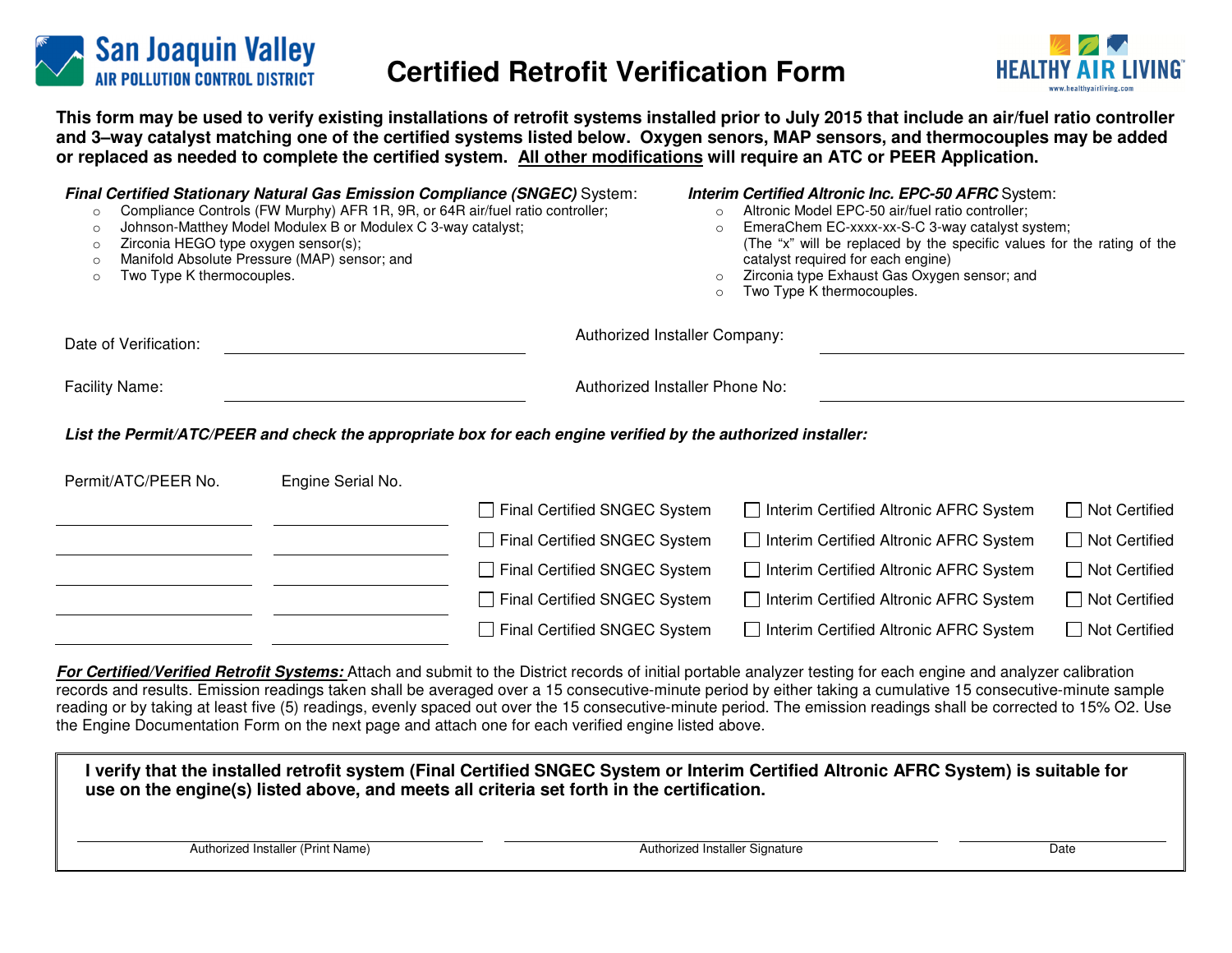

# **Certified Retrofit Verification Form**



**This form may be used to verify existing installations of retrofit systems installed prior to July 2015 that include an air/fuel ratio controller and 3–way catalyst matching one of the certified systems listed below. Oxygen senors, MAP sensors, and thermocouples may be added or replaced as needed to complete the certified system. All other modifications will require an ATC or PEER Application.** 

| $\circ$<br>$\circ$<br>Zirconia HEGO type oxygen sensor(s);<br>$\circ$<br>$\circ$<br>Two Type K thermocouples.<br>$\circ$ | Compliance Controls (FW Murphy) AFR 1R, 9R, or 64R air/fuel ratio controller;<br>Johnson-Matthey Model Modulex B or Modulex C 3-way catalyst;<br>Manifold Absolute Pressure (MAP) sensor; and | <b>Final Certified Stationary Natural Gas Emission Compliance (SNGEC)</b> System:                            | <b>Interim Certified Altronic Inc. EPC-50 AFRC</b> System:<br>Altronic Model EPC-50 air/fuel ratio controller;<br>$\circ$<br>EmeraChem EC-xxxx-xx-S-C 3-way catalyst system;<br>$\circ$<br>(The "x" will be replaced by the specific values for the rating of the<br>catalyst required for each engine)<br>Zirconia type Exhaust Gas Oxygen sensor; and<br>$\circ$<br>Two Type K thermocouples.<br>$\circ$ |                      |  |  |
|--------------------------------------------------------------------------------------------------------------------------|-----------------------------------------------------------------------------------------------------------------------------------------------------------------------------------------------|--------------------------------------------------------------------------------------------------------------|------------------------------------------------------------------------------------------------------------------------------------------------------------------------------------------------------------------------------------------------------------------------------------------------------------------------------------------------------------------------------------------------------------|----------------------|--|--|
| Date of Verification:                                                                                                    |                                                                                                                                                                                               | Authorized Installer Company:                                                                                |                                                                                                                                                                                                                                                                                                                                                                                                            |                      |  |  |
| <b>Facility Name:</b>                                                                                                    |                                                                                                                                                                                               |                                                                                                              | Authorized Installer Phone No:                                                                                                                                                                                                                                                                                                                                                                             |                      |  |  |
|                                                                                                                          |                                                                                                                                                                                               | List the Permit/ATC/PEER and check the appropriate box for each engine verified by the authorized installer: |                                                                                                                                                                                                                                                                                                                                                                                                            |                      |  |  |
| Permit/ATC/PEER No.                                                                                                      | Engine Serial No.                                                                                                                                                                             |                                                                                                              |                                                                                                                                                                                                                                                                                                                                                                                                            |                      |  |  |
|                                                                                                                          |                                                                                                                                                                                               | Final Certified SNGEC System                                                                                 | Interim Certified Altronic AFRC System                                                                                                                                                                                                                                                                                                                                                                     | $\Box$ Not Certified |  |  |
|                                                                                                                          |                                                                                                                                                                                               | Final Certified SNGEC System                                                                                 | □ Interim Certified Altronic AFRC System                                                                                                                                                                                                                                                                                                                                                                   | $\Box$ Not Certified |  |  |
|                                                                                                                          |                                                                                                                                                                                               | Final Certified SNGEC System                                                                                 | □ Interim Certified Altronic AFRC System                                                                                                                                                                                                                                                                                                                                                                   | $\Box$ Not Certified |  |  |
|                                                                                                                          |                                                                                                                                                                                               | $\Box$ Final Certified SNGEC System                                                                          | Interim Certified Altronic AFRC System                                                                                                                                                                                                                                                                                                                                                                     | $\Box$ Not Certified |  |  |
|                                                                                                                          |                                                                                                                                                                                               | <b>Final Certified SNGEC System</b>                                                                          | Interim Certified Altronic AFRC System                                                                                                                                                                                                                                                                                                                                                                     | $\Box$ Not Certified |  |  |

*For Certified/Verified Retrofit Systems:* Attach and submit to the District records of initial portable analyzer testing for each engine and analyzer calibration records and results. Emission readings taken shall be averaged over a 15 consecutive-minute period by either taking a cumulative 15 consecutive-minute sample reading or by taking at least five (5) readings, evenly spaced out over the 15 consecutive-minute period. The emission readings shall be corrected to 15% O2. Use the Engine Documentation Form on the next page and attach one for each verified engine listed above.

| I verify that the installed retrofit system (Final Certified SNGEC System or Interim Certified Altronic AFRC System) is suitable for<br>use on the engine(s) listed above, and meets all criteria set forth in the certification. |                                |      |  |  |  |  |  |  |
|-----------------------------------------------------------------------------------------------------------------------------------------------------------------------------------------------------------------------------------|--------------------------------|------|--|--|--|--|--|--|
| Authorized Installer (Print Name)                                                                                                                                                                                                 | Authorized Installer Signature | Date |  |  |  |  |  |  |